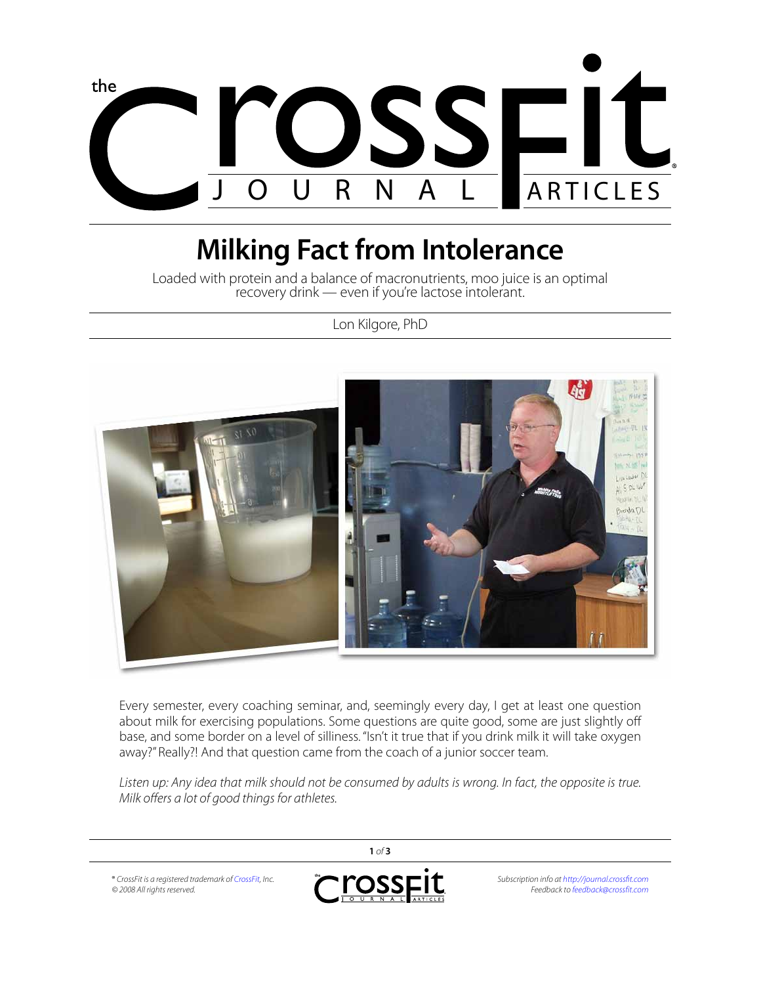

## **Milking Fact from Intolerance**

Loaded with protein and a balance of macronutrients, moo juice is an optimal recovery drink — even if you're lactose intolerant.

Lon Kilgore, PhD



Every semester, every coaching seminar, and, seemingly every day, I get at least one question about milk for exercising populations. Some questions are quite good, some are just slightly off base, and some border on a level of silliness. "Isn't it true that if you drink milk it will take oxygen away?" Really?! And that question came from the coach of a junior soccer team.

Listen up: Any idea that milk should not be consumed by adults is wrong. In fact, the opposite is true. *Milk offers a lot of good things for athletes.*

**1** *of* **3** ® *CrossFit is a registered trademark of [CrossFit](http://www.crossfit.com), Inc.* ross *Subscription info at<http://journal.crossfit.com> © 2008 All rights reserved. Feedback to [feedback@crossfit.com](mailto:feedback@crossfit.com)*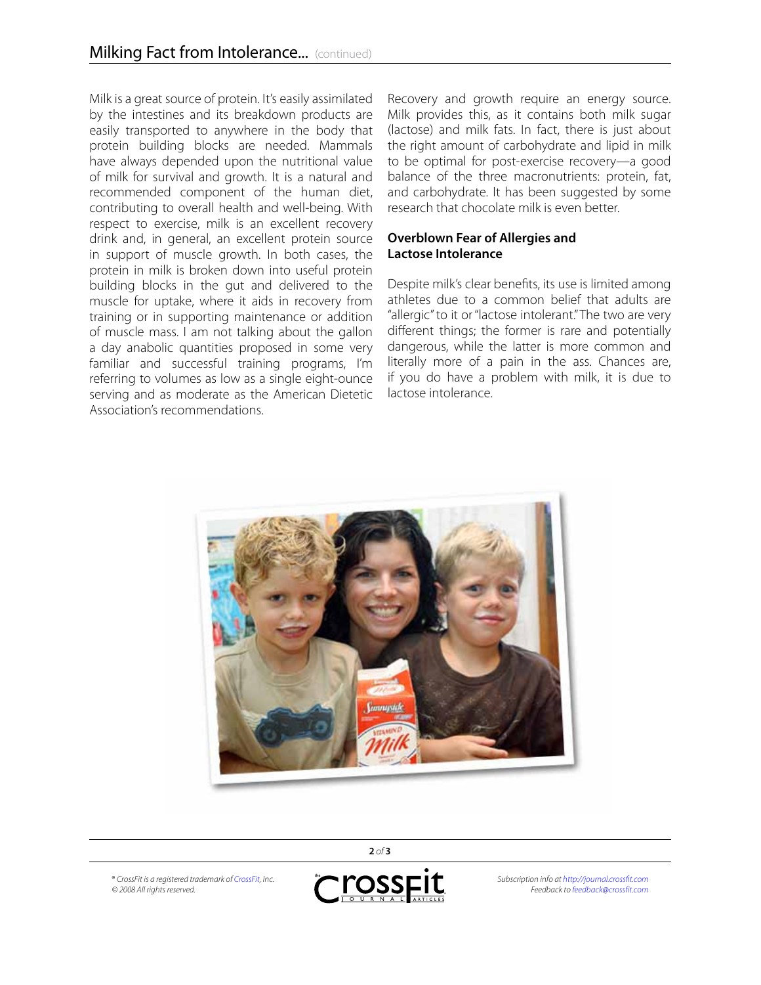Milk is a great source of protein. It's easily assimilated by the intestines and its breakdown products are easily transported to anywhere in the body that protein building blocks are needed. Mammals have always depended upon the nutritional value of milk for survival and growth. It is a natural and recommended component of the human diet, contributing to overall health and well-being. With respect to exercise, milk is an excellent recovery drink and, in general, an excellent protein source in support of muscle growth. In both cases, the protein in milk is broken down into useful protein building blocks in the gut and delivered to the muscle for uptake, where it aids in recovery from training or in supporting maintenance or addition of muscle mass. I am not talking about the gallon a day anabolic quantities proposed in some very familiar and successful training programs, I'm referring to volumes as low as a single eight-ounce serving and as moderate as the American Dietetic Association's recommendations.

Recovery and growth require an energy source. Milk provides this, as it contains both milk sugar (lactose) and milk fats. In fact, there is just about the right amount of carbohydrate and lipid in milk to be optimal for post-exercise recovery—a good balance of the three macronutrients: protein, fat, and carbohydrate. It has been suggested by some research that chocolate milk is even better.

## **Overblown Fear of Allergies and Lactose Intolerance**

Despite milk's clear benefits, its use is limited among athletes due to a common belief that adults are "allergic" to it or "lactose intolerant." The two are very different things; the former is rare and potentially dangerous, while the latter is more common and literally more of a pain in the ass. Chances are, if you do have a problem with milk, it is due to lactose intolerance.



® *CrossFit is a registered trademark of [CrossFit](http://www.crossfit.com), Inc. © 2008 All rights reserved.*



*Subscription info at<http://journal.crossfit.com> Feedback to [feedback@crossfit.com](mailto:feedback@crossfit.com)*

**2** *of* **3**